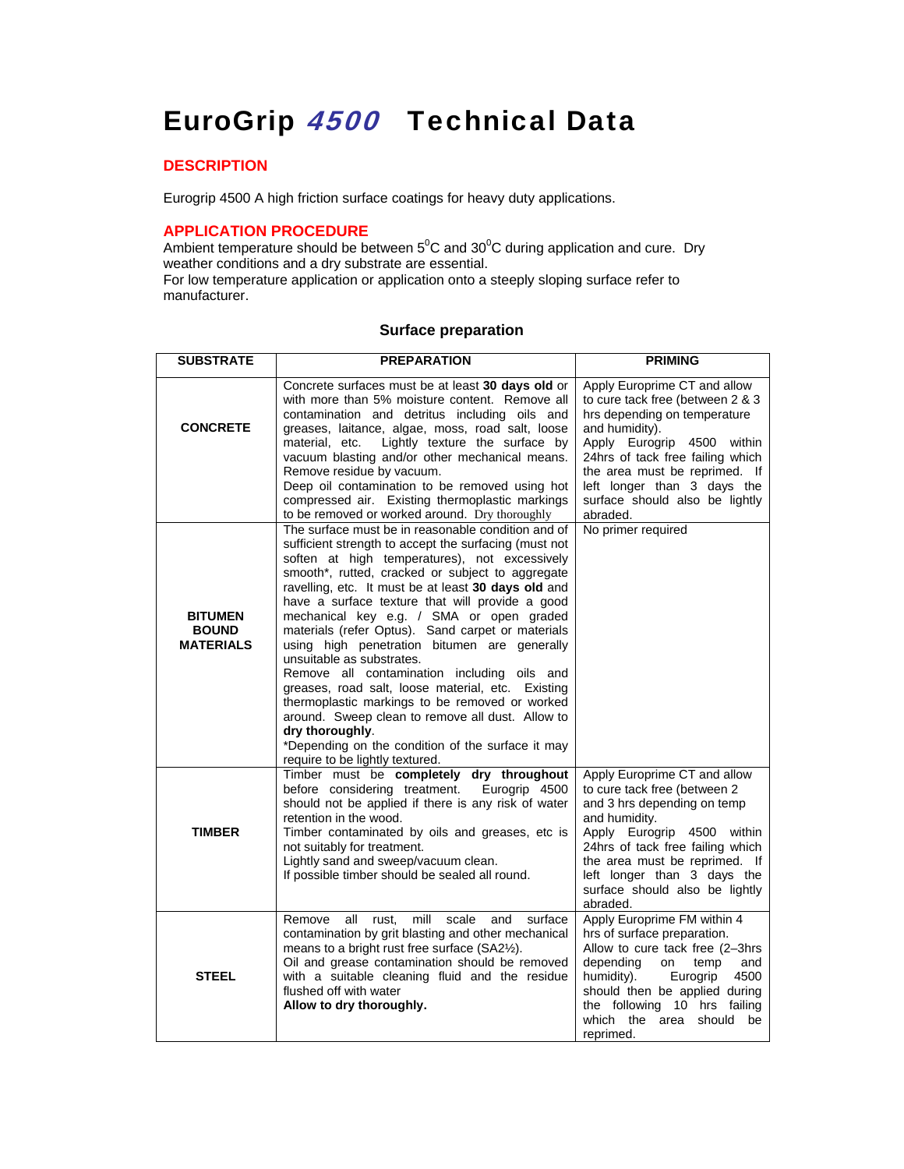# EuroGrip 4500 Technical Data

## **DESCRIPTION**

Eurogrip 4500 A high friction surface coatings for heavy duty applications.

## **APPLICATION PROCEDURE**

Ambient temperature should be between  $5^0C$  and  $30^0C$  during application and cure. Dry weather conditions and a dry substrate are essential. For low temperature application or application onto a steeply sloping surface refer to

manufacturer.

## **Surface preparation**

| <b>SUBSTRATE</b>                                   | <b>PREPARATION</b>                                                                                                                                                                                                                                                                                                                                                                                                                                                                                                                                                                                                                                                                                                                                                                                                            | <b>PRIMING</b>                                                                                                                                                                                                                                                                                     |
|----------------------------------------------------|-------------------------------------------------------------------------------------------------------------------------------------------------------------------------------------------------------------------------------------------------------------------------------------------------------------------------------------------------------------------------------------------------------------------------------------------------------------------------------------------------------------------------------------------------------------------------------------------------------------------------------------------------------------------------------------------------------------------------------------------------------------------------------------------------------------------------------|----------------------------------------------------------------------------------------------------------------------------------------------------------------------------------------------------------------------------------------------------------------------------------------------------|
| <b>CONCRETE</b>                                    | Concrete surfaces must be at least 30 days old or<br>with more than 5% moisture content. Remove all<br>contamination and detritus including oils and<br>greases, laitance, algae, moss, road salt, loose<br>Lightly texture the surface by<br>material, etc.<br>vacuum blasting and/or other mechanical means.<br>Remove residue by vacuum.<br>Deep oil contamination to be removed using hot<br>compressed air. Existing thermoplastic markings<br>to be removed or worked around. Dry thoroughly                                                                                                                                                                                                                                                                                                                            | Apply Europrime CT and allow<br>to cure tack free (between 2 & 3<br>hrs depending on temperature<br>and humidity).<br>Apply Eurogrip 4500 within<br>24hrs of tack free failing which<br>the area must be reprimed. If<br>left longer than 3 days the<br>surface should also be lightly<br>abraded. |
| <b>BITUMEN</b><br><b>BOUND</b><br><b>MATERIALS</b> | The surface must be in reasonable condition and of<br>sufficient strength to accept the surfacing (must not<br>soften at high temperatures), not excessively<br>smooth*, rutted, cracked or subject to aggregate<br>ravelling, etc. It must be at least 30 days old and<br>have a surface texture that will provide a good<br>mechanical key e.g. / SMA or open graded<br>materials (refer Optus). Sand carpet or materials<br>using high penetration bitumen are generally<br>unsuitable as substrates.<br>Remove all contamination including oils and<br>greases, road salt, loose material, etc. Existing<br>thermoplastic markings to be removed or worked<br>around. Sweep clean to remove all dust. Allow to<br>dry thoroughly.<br>*Depending on the condition of the surface it may<br>require to be lightly textured. | No primer required                                                                                                                                                                                                                                                                                 |
| <b>TIMBER</b>                                      | Timber must be completely dry throughout<br>before considering treatment.<br>Eurogrip 4500<br>should not be applied if there is any risk of water<br>retention in the wood.<br>Timber contaminated by oils and greases, etc is<br>not suitably for treatment.<br>Lightly sand and sweep/vacuum clean.<br>If possible timber should be sealed all round.                                                                                                                                                                                                                                                                                                                                                                                                                                                                       | Apply Europrime CT and allow<br>to cure tack free (between 2<br>and 3 hrs depending on temp<br>and humidity.<br>Apply Eurogrip 4500 within<br>24hrs of tack free failing which<br>the area must be reprimed. If<br>left longer than 3 days the<br>surface should also be lightly<br>abraded.       |
| <b>STEEL</b>                                       | Remove<br>all<br>rust.<br>mill<br>scale<br>and<br>surface<br>contamination by grit blasting and other mechanical<br>means to a bright rust free surface (SA2½).<br>Oil and grease contamination should be removed<br>with a suitable cleaning fluid and the residue<br>flushed off with water<br>Allow to dry thoroughly.                                                                                                                                                                                                                                                                                                                                                                                                                                                                                                     | Apply Europrime FM within 4<br>hrs of surface preparation.<br>Allow to cure tack free (2-3hrs<br>depending<br>on<br>temp<br>and<br>4500<br>humidity).<br>Eurogrip<br>should then be applied during<br>the following 10 hrs failing<br>which the area should be<br>reprimed.                        |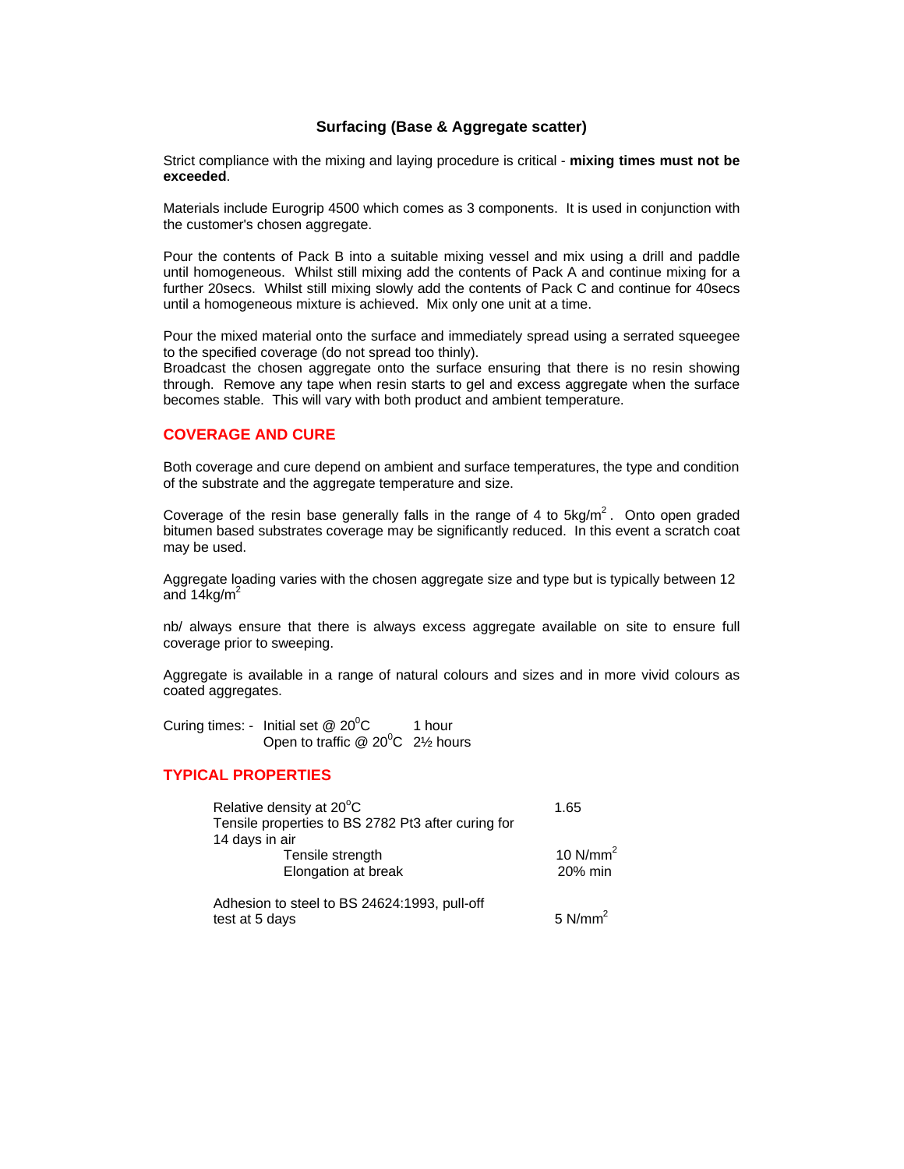#### **Surfacing (Base & Aggregate scatter)**

Strict compliance with the mixing and laying procedure is critical - **mixing times must not be exceeded**.

Materials include Eurogrip 4500 which comes as 3 components. It is used in conjunction with the customer's chosen aggregate.

Pour the contents of Pack B into a suitable mixing vessel and mix using a drill and paddle until homogeneous. Whilst still mixing add the contents of Pack A and continue mixing for a further 20secs. Whilst still mixing slowly add the contents of Pack C and continue for 40secs until a homogeneous mixture is achieved. Mix only one unit at a time.

Pour the mixed material onto the surface and immediately spread using a serrated squeegee to the specified coverage (do not spread too thinly).

Broadcast the chosen aggregate onto the surface ensuring that there is no resin showing through. Remove any tape when resin starts to gel and excess aggregate when the surface becomes stable. This will vary with both product and ambient temperature.

#### **COVERAGE AND CURE**

Both coverage and cure depend on ambient and surface temperatures, the type and condition of the substrate and the aggregate temperature and size.

Coverage of the resin base generally falls in the range of 4 to  $5kg/m<sup>2</sup>$ . Onto open graded bitumen based substrates coverage may be significantly reduced. In this event a scratch coat may be used.

Aggregate loading varies with the chosen aggregate size and type but is typically between 12 and  $14$ kg/m<sup>2</sup>

nb/ always ensure that there is always excess aggregate available on site to ensure full coverage prior to sweeping.

Aggregate is available in a range of natural colours and sizes and in more vivid colours as coated aggregates.

Curing times: - Initial set  $@$  20<sup>0</sup>C 1 hour Open to traffic  $@$  20<sup>0</sup>C 2½ hours

#### **TYPICAL PROPERTIES**

| Relative density at 20°C                           | 1.65       |  |
|----------------------------------------------------|------------|--|
| Tensile properties to BS 2782 Pt3 after curing for |            |  |
| 14 days in air                                     |            |  |
| Tensile strength                                   | 10 $N/mm2$ |  |
| Elongation at break                                | 20% min    |  |
| Adhesion to steel to BS 24624:1993, pull-off       |            |  |

Adriesion to steel to BS 24024.1995, pull-on<br>test at 5 days  $5 N/mm^2$